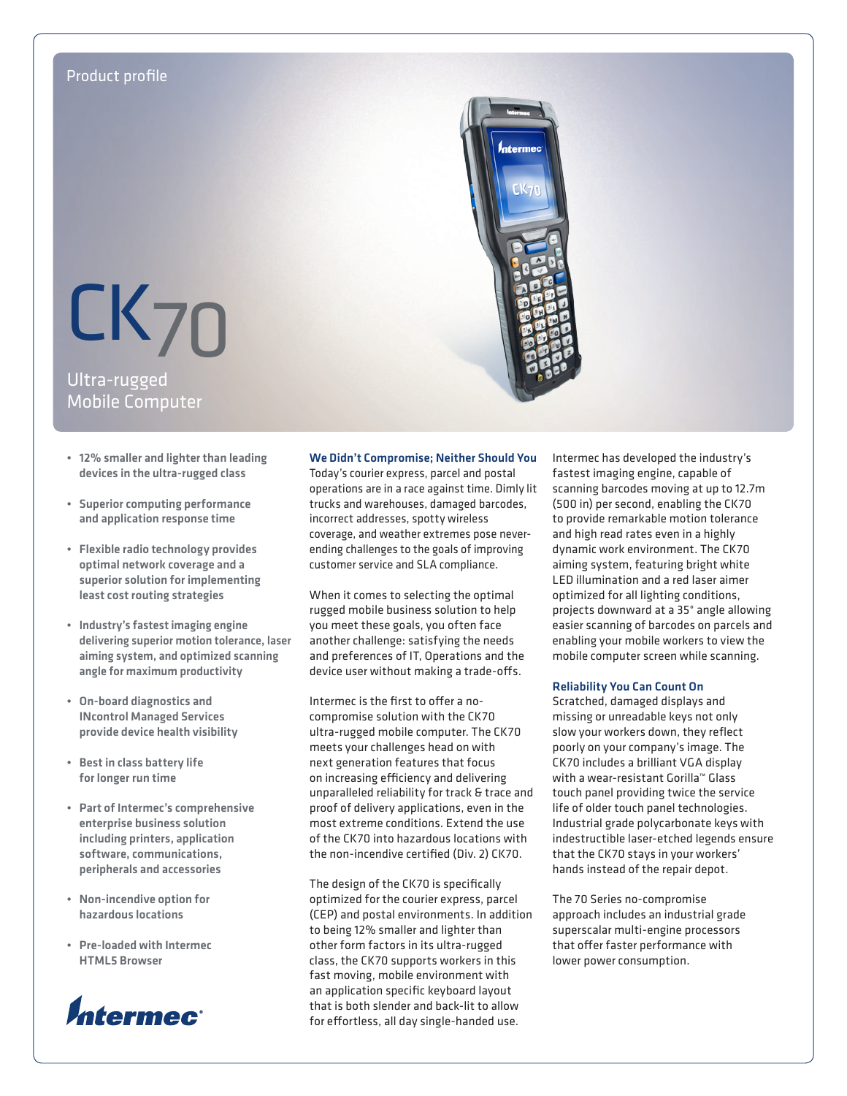# Product profile

Ultra-rugged Mobile Computer CK70

- • 12% smaller and lighter than leading devices in the ultra-rugged class
- • Superior computing performance and application response time
- • Flexible radio technology provides optimal network coverage and a superior solution for implementing least cost routing strategies
- Industry's fastest imaging engine delivering superior motion tolerance, laser aiming system, and optimized scanning angle for maximum productivity
- • On-board diagnostics and INcontrol Managed Services provide device health visibility
- • Best in class battery life for longer run time
- • Part of Intermec's comprehensive enterprise business solution including printers, application software, communications, peripherals and accessories
- Non-incendive option for hazardous locations
- • Pre-loaded with Intermec HTML5 Browser



# We Didn't Compromise; Neither Should You

Today's courier express, parcel and postal operations are in a race against time. Dimly lit trucks and warehouses, damaged barcodes, incorrect addresses, spotty wireless coverage, and weather extremes pose neverending challenges to the goals of improving customer service and SLA compliance.

When it comes to selecting the optimal rugged mobile business solution to help you meet these goals, you often face another challenge: satisfying the needs and preferences of IT, Operations and the device user without making a trade-offs.

Intermec is the first to offer a nocompromise solution with the CK70 ultra-rugged mobile computer. The CK70 meets your challenges head on with next generation features that focus on increasing efficiency and delivering unparalleled reliability for track & trace and proof of delivery applications, even in the most extreme conditions. Extend the use of the CK70 into hazardous locations with the non-incendive certified (Div. 2) CK70.

The design of the CK70 is specifically optimized for the courier express, parcel (CEP) and postal environments. In addition to being 12% smaller and lighter than other form factors in its ultra-rugged class, the CK70 supports workers in this fast moving, mobile environment with an application specific keyboard layout that is both slender and back-lit to allow for effortless, all day single-handed use.

Intermec has developed the industry's fastest imaging engine, capable of scanning barcodes moving at up to 12.7m (500 in) per second, enabling the CK70 to provide remarkable motion tolerance and high read rates even in a highly dynamic work environment. The CK70 aiming system, featuring bright white LED illumination and a red laser aimer optimized for all lighting conditions, projects downward at a 35° angle allowing easier scanning of barcodes on parcels and enabling your mobile workers to view the mobile computer screen while scanning.

# Reliability You Can Count On

Scratched, damaged displays and missing or unreadable keys not only slow your workers down, they reflect poorly on your company's image. The CK70 includes a brilliant VGA display with a wear-resistant Gorilla™ Glass touch panel providing twice the service life of older touch panel technologies. Industrial grade polycarbonate keys with indestructible laser-etched legends ensure that the CK70 stays in your workers' hands instead of the repair depot.

The 70 Series no-compromise approach includes an industrial grade superscalar multi-engine processors that offer faster performance with lower power consumption.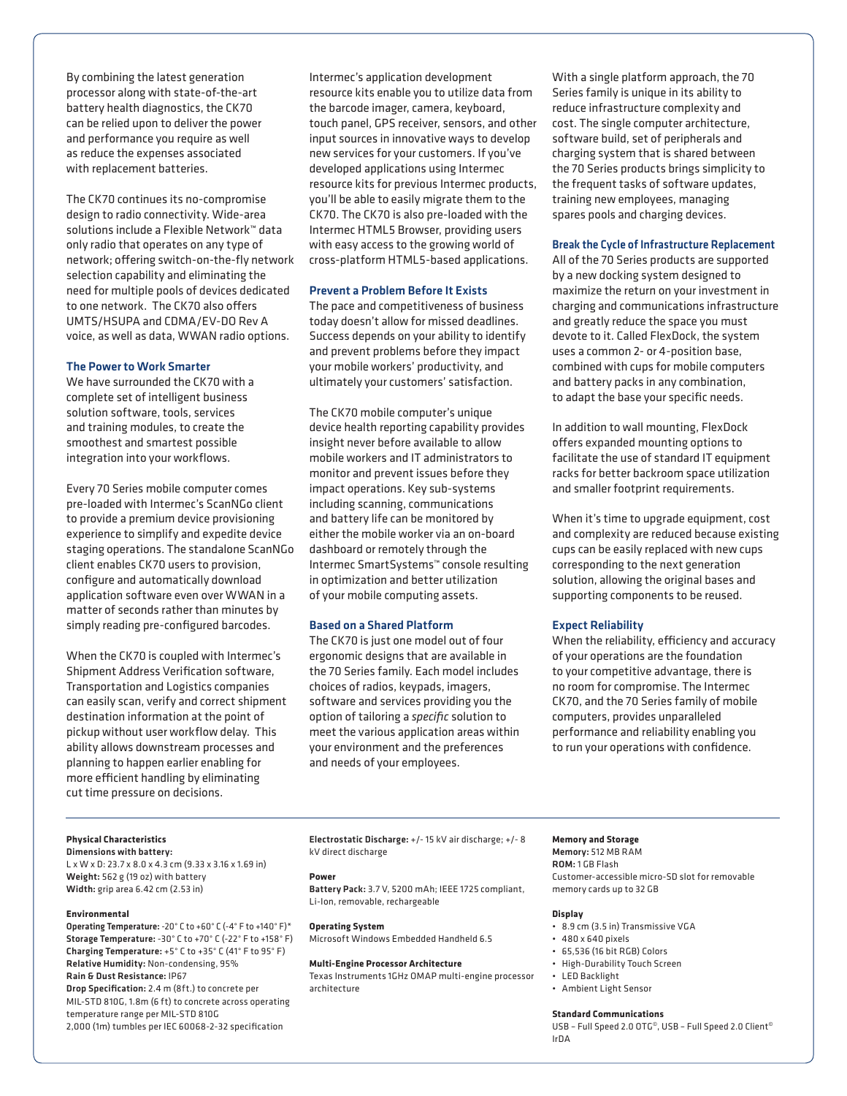By combining the latest generation processor along with state-of-the-art battery health diagnostics, the CK70 can be relied upon to deliver the power and performance you require as well as reduce the expenses associated with replacement batteries.

The CK70 continues its no-compromise design to radio connectivity. Wide-area solutions include a Flexible Network™ data only radio that operates on any type of network; offering switch-on-the-fly network selection capability and eliminating the need for multiple pools of devices dedicated to one network. The CK70 also offers UMTS/HSUPA and CDMA/EV-DO Rev A voice, as well as data, WWAN radio options.

# The Power to Work Smarter

We have surrounded the CK70 with a complete set of intelligent business solution software, tools, services and training modules, to create the smoothest and smartest possible integration into your workflows.

Every 70 Series mobile computer comes pre-loaded with Intermec's ScanNGo client to provide a premium device provisioning experience to simplify and expedite device staging operations. The standalone ScanNGo client enables CK70 users to provision, configure and automatically download application software even over WWAN in a matter of seconds rather than minutes by simply reading pre-configured barcodes.

When the CK70 is coupled with Intermec's Shipment Address Verification software, Transportation and Logistics companies can easily scan, verify and correct shipment destination information at the point of pickup without user workflow delay. This ability allows downstream processes and planning to happen earlier enabling for more efficient handling by eliminating cut time pressure on decisions.

Intermec's application development resource kits enable you to utilize data from the barcode imager, camera, keyboard, touch panel, GPS receiver, sensors, and other input sources in innovative ways to develop new services for your customers. If you've developed applications using Intermec resource kits for previous Intermec products, you'll be able to easily migrate them to the CK70. The CK70 is also pre-loaded with the Intermec HTML5 Browser, providing users with easy access to the growing world of cross-platform HTML5-based applications.

# Prevent a Problem Before It Exists

The pace and competitiveness of business today doesn't allow for missed deadlines. Success depends on your ability to identify and prevent problems before they impact your mobile workers' productivity, and ultimately your customers' satisfaction.

The CK70 mobile computer's unique device health reporting capability provides insight never before available to allow mobile workers and IT administrators to monitor and prevent issues before they impact operations. Key sub-systems including scanning, communications and battery life can be monitored by either the mobile worker via an on-board dashboard or remotely through the Intermec SmartSystems™ console resulting in optimization and better utilization of your mobile computing assets.

# Based on a Shared Platform

The CK70 is just one model out of four ergonomic designs that are available in the 70 Series family. Each model includes choices of radios, keypads, imagers, software and services providing you the option of tailoring a *specific* solution to meet the various application areas within your environment and the preferences and needs of your employees.

With a single platform approach, the 70 Series family is unique in its ability to reduce infrastructure complexity and cost. The single computer architecture, software build, set of peripherals and charging system that is shared between the 70 Series products brings simplicity to the frequent tasks of software updates, training new employees, managing spares pools and charging devices.

# Break the Cycle of Infrastructure Replacement

All of the 70 Series products are supported by a new docking system designed to maximize the return on your investment in charging and communications infrastructure and greatly reduce the space you must devote to it. Called FlexDock, the system uses a common 2- or 4-position base, combined with cups for mobile computers and battery packs in any combination, to adapt the base your specific needs.

In addition to wall mounting, FlexDock offers expanded mounting options to facilitate the use of standard IT equipment racks for better backroom space utilization and smaller footprint requirements.

When it's time to upgrade equipment, cost and complexity are reduced because existing cups can be easily replaced with new cups corresponding to the next generation solution, allowing the original bases and supporting components to be reused.

# Expect Reliability

When the reliability, efficiency and accuracy of your operations are the foundation to your competitive advantage, there is no room for compromise. The Intermec CK70, and the 70 Series family of mobile computers, provides unparalleled performance and reliability enabling you to run your operations with confidence.

# **Physical Characteristics**

Dimensions with battery: L x W x D: 23.7 x 8.0 x 4.3 cm (9.33 x 3.16 x 1.69 in) Weight: 562 g (19 oz) with battery Width: grip area 6.42 cm (2.53 in)

### **Environmental**

Operating Temperature: -20° C to +60° C (-4° F to +140° F)\* Storage Temperature: -30° C to +70° C (-22° F to +158° F) Charging Temperature: +5° C to +35° C (41° F to 95° F) Relative Humidity: Non-condensing, 95% Rain & Dust Resistance: IP67

Drop Specification: 2.4 m (8ft.) to concrete per MIL-STD 810G, 1.8m (6 ft) to concrete across operating temperature range per MIL-STD 810G 2,000 (1m) tumbles per IEC 60068-2-32 specification

Electrostatic Discharge: +/- 15 kV air discharge; +/- 8 kV direct discharge

#### **Power**

Battery Pack: 3.7 V, 5200 mAh; IEEE 1725 compliant, Li-Ion, removable, rechargeable

### **Operating System**

Microsoft Windows Embedded Handheld 6.5

# **Multi-Engine Processor Architecture**

Texas Instruments 1GHz OMAP multi-engine processor architecture

## **Memory and Storage**

Memory: 512 MB RAM ROM: 1 GB Flash Customer-accessible micro-SD slot for removable memory cards up to 32 GB

# **Display**

- • 8.9 cm (3.5 in) Transmissive VGA
- • 480 x 640 pixels
- • 65,536 (16 bit RGB) Colors
- • High-Durability Touch Screen
- • LED Backlight
- • Ambient Light Sensor

#### **Standard Communications**

USB - Full Speed 2.0 OTG<sup>®</sup>, USB - Full Speed 2.0 Client<sup>®</sup> IrDA